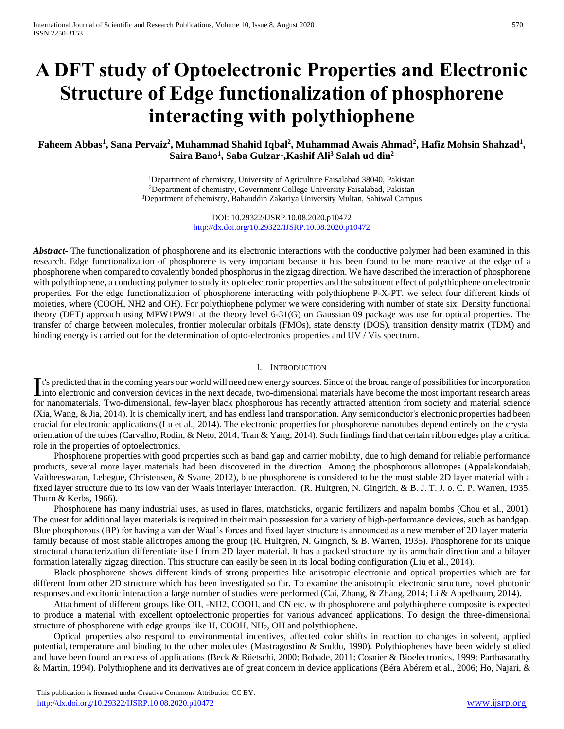# **A DFT study of Optoelectronic Properties and Electronic Structure of Edge functionalization of phosphorene interacting with polythiophene**

# **Faheem Abbas<sup>1</sup> , Sana Pervaiz<sup>2</sup> , Muhammad Shahid Iqbal<sup>2</sup> , Muhammad Awais Ahmad<sup>2</sup> , Hafiz Mohsin Shahzad<sup>1</sup> , Saira Bano<sup>1</sup> , Saba Gulzar<sup>1</sup> ,Kashif Ali<sup>3</sup> Salah ud din<sup>2</sup>**

<sup>1</sup>Department of chemistry, University of Agriculture Faisalabad 38040, Pakistan <sup>2</sup>Department of chemistry, Government College University Faisalabad, Pakistan <sup>3</sup>Department of chemistry, Bahauddin Zakariya University Multan, Sahiwal Campus

> DOI: 10.29322/IJSRP.10.08.2020.p10472 <http://dx.doi.org/10.29322/IJSRP.10.08.2020.p10472>

*Abstract***-** The functionalization of phosphorene and its electronic interactions with the conductive polymer had been examined in this research. Edge functionalization of phosphorene is very important because it has been found to be more reactive at the edge of a phosphorene when compared to covalently bonded phosphorus in the zigzag direction. We have described the interaction of phosphorene with polythiophene, a conducting polymer to study its optoelectronic properties and the substituent effect of polythiophene on electronic properties. For the edge functionalization of phosphorene interacting with polythiophene P-X-PT. we select four different kinds of moieties, where (COOH, NH2 and OH). For polythiophene polymer we were considering with number of state six. Density functional theory (DFT) approach using MPW1PW91 at the theory level 6-31(G) on Gaussian 09 package was use for optical properties. The transfer of charge between molecules, frontier molecular orbitals (FMOs), state density (DOS), transition density matrix (TDM) and binding energy is carried out for the determination of opto-electronics properties and UV / Vis spectrum.

# I. INTRODUCTION

t's predicted that in the coming years our world will need new energy sources. Since of the broad range of possibilities for incorporation It's predicted that in the coming years our world will need new energy sources. Since of the broad range of possibilities for incorporation into electronic and conversion devices in the next decade, two-dimensional materia for nanomaterials. Two-dimensional, few-layer black phosphorous has recently attracted attention from society and material science (Xia, Wang, & Jia, 2014). It is chemically inert, and has endless land transportation. Any semiconductor's electronic properties had been crucial for electronic applications (Lu et al., 2014). The electronic properties for phosphorene nanotubes depend entirely on the crystal orientation of the tubes (Carvalho, Rodin, & Neto, 2014; Tran & Yang, 2014). Such findings find that certain ribbon edges play a critical role in the properties of optoelectronics.

 Phosphorene properties with good properties such as band gap and carrier mobility, due to high demand for reliable performance products, several more layer materials had been discovered in the direction. Among the phosphorous allotropes (Appalakondaiah, Vaitheeswaran, Lebegue, Christensen, & Svane, 2012), blue phosphorene is considered to be the most stable 2D layer material with a fixed layer structure due to its low van der Waals interlayer interaction. (R. Hultgren, N. Gingrich, & B. J. T. J. o. C. P. Warren, 1935; Thurn & Kerbs, 1966).

 Phosphorene has many industrial uses, as used in flares, matchsticks, organic fertilizers and napalm bombs (Chou et al., 2001). The quest for additional layer materials is required in their main possession for a variety of high-performance devices, such as bandgap. Blue phosphorous (BP) for having a van der Waal's forces and fixed layer structure is announced as a new member of 2D layer material family because of most stable allotropes among the group (R. Hultgren, N. Gingrich, & B. Warren, 1935). Phosphorene for its unique structural characterization differentiate itself from 2D layer material. It has a packed structure by its armchair direction and a bilayer formation laterally zigzag direction. This structure can easily be seen in its local boding configuration (Liu et al., 2014).

 Black phosphorene shows different kinds of strong properties like anisotropic electronic and optical properties which are far different from other 2D structure which has been investigated so far. To examine the anisotropic electronic structure, novel photonic responses and excitonic interaction a large number of studies were performed (Cai, Zhang, & Zhang, 2014; Li & Appelbaum, 2014).

 Attachment of different groups like OH, -NH2, COOH, and CN etc. with phosphorene and polythiophene composite is expected to produce a material with excellent optoelectronic properties for various advanced applications. To design the three-dimensional structure of phosphorene with edge groups like H, COOH, NH2, OH and polythiophene.

 Optical properties also respond to environmental incentives, affected color shifts in reaction to changes in solvent, applied potential, temperature and binding to the other molecules (Mastragostino & Soddu, 1990). Polythiophenes have been widely studied and have been found an excess of applications (Beck & Rüetschi, 2000; Bobade, 2011; Cosnier & Bioelectronics, 1999; Parthasarathy & Martin, 1994). Polythiophene and its derivatives are of great concern in device applications (Béra Abérem et al., 2006; Ho, Najari, &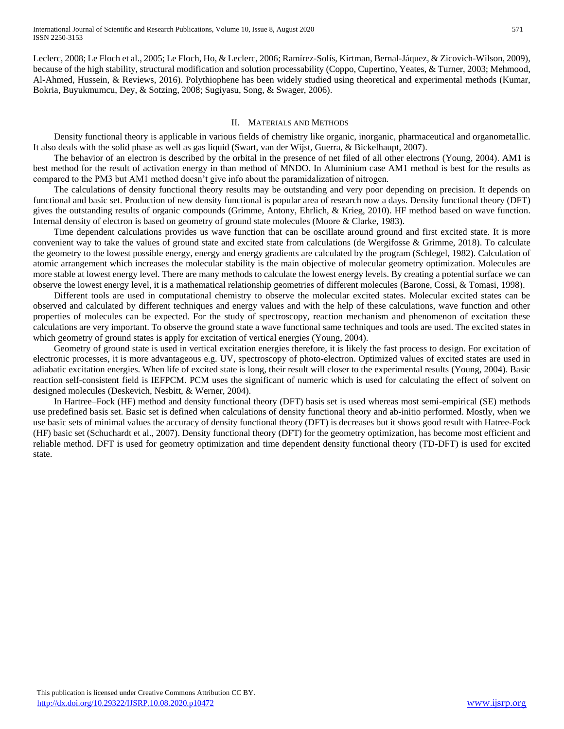Leclerc, 2008; Le Floch et al., 2005; Le Floch, Ho, & Leclerc, 2006; Ramírez-Solís, Kirtman, Bernal-Jáquez, & Zicovich-Wilson, 2009), because of the high stability, structural modification and solution processability (Coppo, Cupertino, Yeates, & Turner, 2003; Mehmood, Al-Ahmed, Hussein, & Reviews, 2016). Polythiophene has been widely studied using theoretical and experimental methods (Kumar, Bokria, Buyukmumcu, Dey, & Sotzing, 2008; Sugiyasu, Song, & Swager, 2006).

#### II. MATERIALS AND METHODS

 Density functional theory is applicable in various fields of chemistry like organic, inorganic, pharmaceutical and organometallic. It also deals with the solid phase as well as gas liquid (Swart, van der Wijst, Guerra, & Bickelhaupt, 2007).

 The behavior of an electron is described by the orbital in the presence of net filed of all other electrons (Young, 2004). AM1 is best method for the result of activation energy in than method of MNDO. In Aluminium case AM1 method is best for the results as compared to the PM3 but AM1 method doesn't give info about the paramidalization of nitrogen.

 The calculations of density functional theory results may be outstanding and very poor depending on precision. It depends on functional and basic set. Production of new density functional is popular area of research now a days. Density functional theory (DFT) gives the outstanding results of organic compounds (Grimme, Antony, Ehrlich, & Krieg, 2010). HF method based on wave function. Internal density of electron is based on geometry of ground state molecules (Moore & Clarke, 1983).

 Time dependent calculations provides us wave function that can be oscillate around ground and first excited state. It is more convenient way to take the values of ground state and excited state from calculations (de Wergifosse & Grimme, 2018). To calculate the geometry to the lowest possible energy, energy and energy gradients are calculated by the program (Schlegel, 1982). Calculation of atomic arrangement which increases the molecular stability is the main objective of molecular geometry optimization. Molecules are more stable at lowest energy level. There are many methods to calculate the lowest energy levels. By creating a potential surface we can observe the lowest energy level, it is a mathematical relationship geometries of different molecules (Barone, Cossi, & Tomasi, 1998).

 Different tools are used in computational chemistry to observe the molecular excited states. Molecular excited states can be observed and calculated by different techniques and energy values and with the help of these calculations, wave function and other properties of molecules can be expected. For the study of spectroscopy, reaction mechanism and phenomenon of excitation these calculations are very important. To observe the ground state a wave functional same techniques and tools are used. The excited states in which geometry of ground states is apply for excitation of vertical energies (Young, 2004).

 Geometry of ground state is used in vertical excitation energies therefore, it is likely the fast process to design. For excitation of electronic processes, it is more advantageous e.g. UV, spectroscopy of photo-electron. Optimized values of excited states are used in adiabatic excitation energies. When life of excited state is long, their result will closer to the experimental results (Young, 2004). Basic reaction self-consistent field is IEFPCM. PCM uses the significant of numeric which is used for calculating the effect of solvent on designed molecules (Deskevich, Nesbitt, & Werner, 2004).

 In Hartree–Fock (HF) method and density functional theory (DFT) basis set is used whereas most semi-empirical (SE) methods use predefined basis set. Basic set is defined when calculations of density functional theory and ab-initio performed. Mostly, when we use basic sets of minimal values the accuracy of density functional theory (DFT) is decreases but it shows good result with Hatree-Fock (HF) basic set (Schuchardt et al., 2007). Density functional theory (DFT) for the geometry optimization, has become most efficient and reliable method. DFT is used for geometry optimization and time dependent density functional theory (TD-DFT) is used for excited state.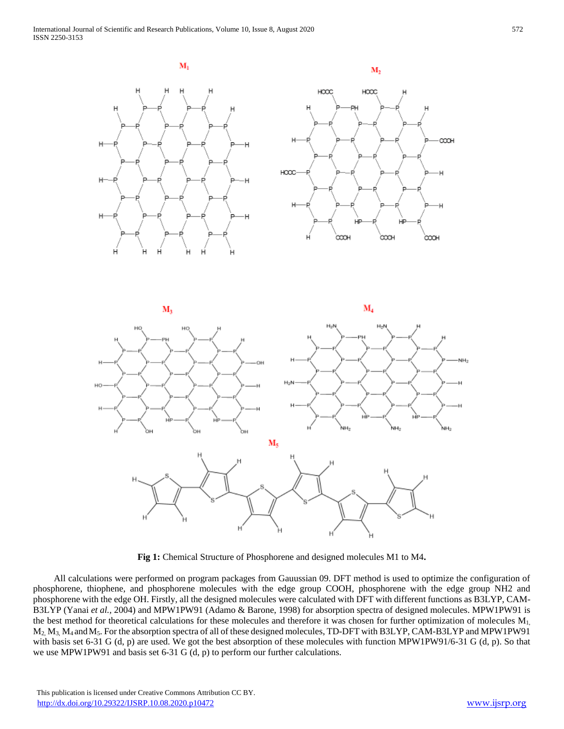

**Fig 1:** Chemical Structure of Phosphorene and designed molecules M1 to M4**.**

 All calculations were performed on program packages from Gauussian 09. DFT method is used to optimize the configuration of phosphorene, thiophene, and phosphorene molecules with the edge group COOH, phosphorene with the edge group NH2 and phosphorene with the edge OH. Firstly, all the designed molecules were calculated with DFT with different functions as B3LYP, CAM-B3LYP (Yanai *et al.,* 2004) and MPW1PW91 (Adamo & Barone, 1998) for absorption spectra of designed molecules. MPW1PW91 is the best method for theoretical calculations for these molecules and therefore it was chosen for further optimization of molecules M<sub>1</sub>, M2, M3, M4 andM5. For the absorption spectra of all of these designed molecules, TD-DFT with B3LYP, CAM-B3LYP and MPW1PW91 with basis set 6-31 G (d, p) are used. We got the best absorption of these molecules with function MPW1PW91/6-31 G (d, p). So that we use MPW1PW91 and basis set 6-31 G (d, p) to perform our further calculations.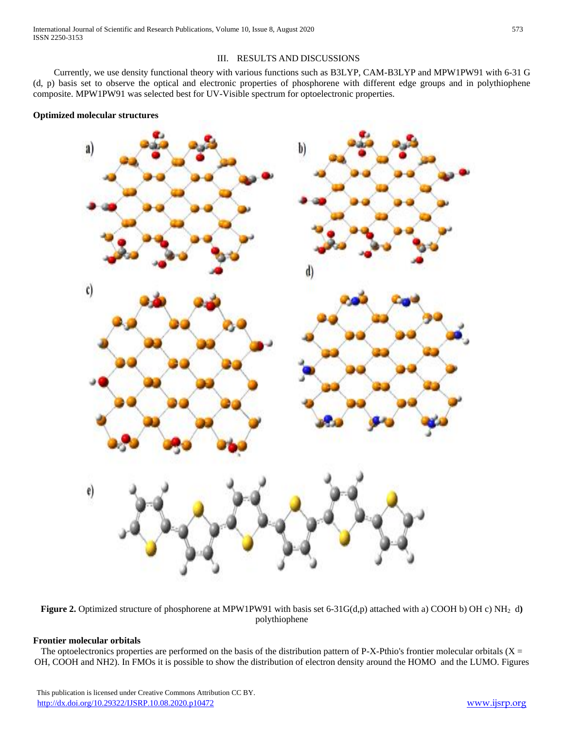## III. RESULTS AND DISCUSSIONS

 Currently, we use density functional theory with various functions such as B3LYP, CAM-B3LYP and MPW1PW91 with 6-31 G (d, p) basis set to observe the optical and electronic properties of phosphorene with different edge groups and in polythiophene composite. MPW1PW91 was selected best for UV-Visible spectrum for optoelectronic properties.





**Figure 2.** Optimized structure of phosphorene at MPW1PW91 with basis set 6-31G(d,p) attached with a) COOH b) OH c) NH<sub>2</sub> d) polythiophene

#### **Frontier molecular orbitals**

The optoelectronics properties are performed on the basis of the distribution pattern of P-X-Pthio's frontier molecular orbitals ( $X =$ OH, COOH and NH2). In FMOs it is possible to show the distribution of electron density around the HOMO and the LUMO. Figures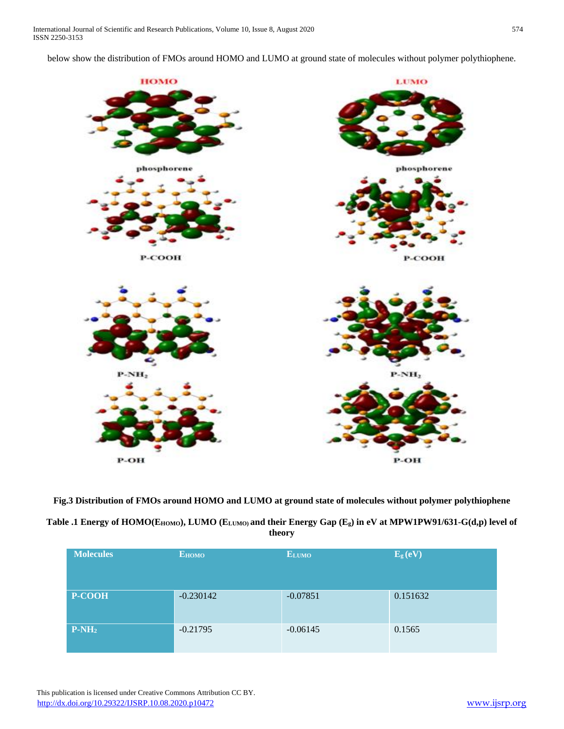below show the distribution of FMOs around HOMO and LUMO at ground state of molecules without polymer polythiophene.



**Fig.3 Distribution of FMOs around HOMO and LUMO at ground state of molecules without polymer polythiophene**

| Table .1 Energy of HOMO(E <sub>HOMO</sub> ), LUMO (E <sub>LUMO)</sub> and their Energy Gap (E <sub>g</sub> ) in eV at MPW1PW91/631-G(d,p) level of |
|----------------------------------------------------------------------------------------------------------------------------------------------------|
| theory                                                                                                                                             |

| <b>Molecules</b> | <b>EHOMO</b> | <b>ELUMO</b> | E <sub>g</sub> (eV) |
|------------------|--------------|--------------|---------------------|
| P-COOH           | $-0.230142$  | $-0.07851$   | 0.151632            |
| $P-NH2$          | $-0.21795$   | $-0.06145$   | 0.1565              |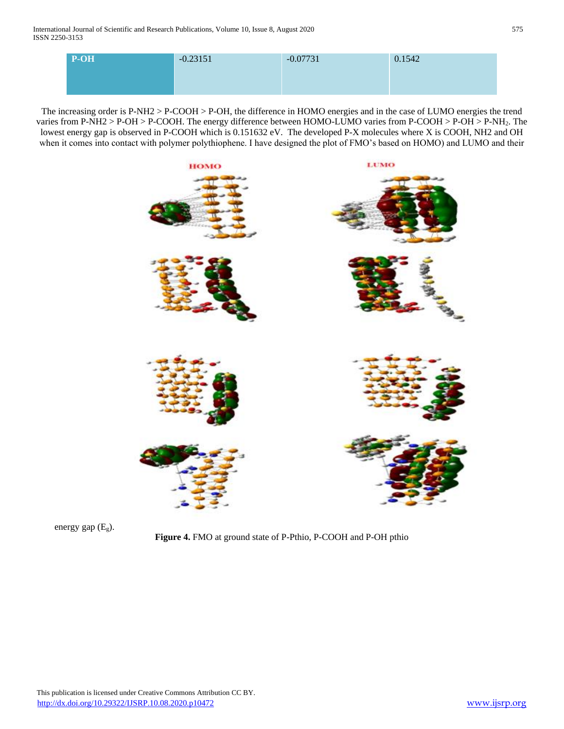| $P-OH$ | $-0.23151$ | $-0.07731$ | 0.1542 |
|--------|------------|------------|--------|
|        |            |            |        |

The increasing order is P-NH2 > P-COOH > P-OH, the difference in HOMO energies and in the case of LUMO energies the trend varies from P-NH2 > P-OH > P-COOH. The energy difference between HOMO-LUMO varies from P-COOH > P-OH > P-NH2. The lowest energy gap is observed in P-COOH which is 0.151632 eV. The developed P-X molecules where X is COOH, NH2 and OH when it comes into contact with polymer polythiophene. I have designed the plot of FMO's based on HOMO) and LUMO and their





**Figure 4.** FMO at ground state of P-Pthio, P-COOH and P-OH pthio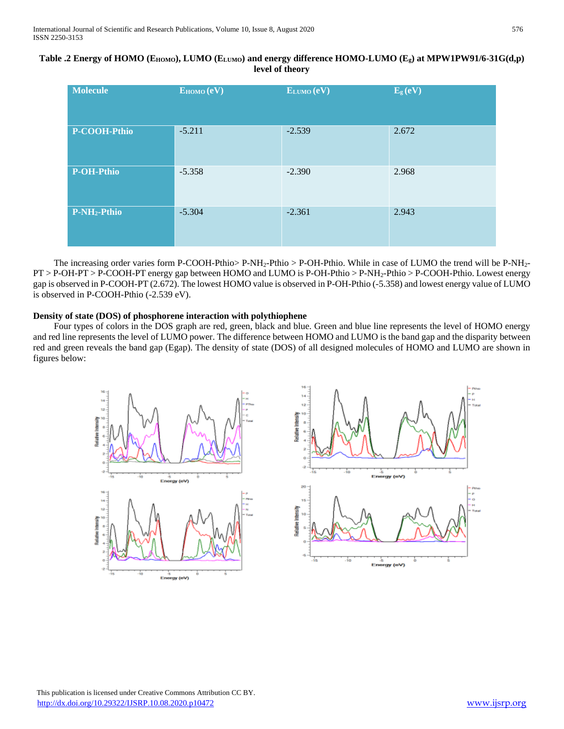| Table .2 Energy of HOMO (E <sub>HOMO</sub> ), LUMO (E <sub>LUMO</sub> ) and energy difference HOMO-LUMO (E <sub>g</sub> ) at MPW1PW91/6-31G(d,p) |
|--------------------------------------------------------------------------------------------------------------------------------------------------|
| level of theory                                                                                                                                  |

| <b>Molecule</b>          | EHOMO (eV) | ELUMO (eV) | E <sub>g</sub> (eV) |
|--------------------------|------------|------------|---------------------|
| P-COOH-Pthio             | $-5.211$   | $-2.539$   | 2.672               |
| <b>P-OH-Pthio</b>        | $-5.358$   | $-2.390$   | 2.968               |
| P-NH <sub>2</sub> -Pthio | $-5.304$   | $-2.361$   | 2.943               |

The increasing order varies form P-COOH-Pthio> P-NH<sub>2</sub>-Pthio > P-OH-Pthio. While in case of LUMO the trend will be P-NH<sub>2</sub>-PT > P-OH-PT > P-COOH-PT energy gap between HOMO and LUMO is P-OH-Pthio > P-NH2-Pthio > P-COOH-Pthio. Lowest energy gap is observed in P-COOH-PT (2.672). The lowest HOMO value is observed in P-OH-Pthio (-5.358) and lowest energy value of LUMO is observed in P-COOH-Pthio (-2.539 eV).

## **Density of state (DOS) of phosphorene interaction with polythiophene**

 Four types of colors in the DOS graph are red, green, black and blue. Green and blue line represents the level of HOMO energy and red line represents the level of LUMO power. The difference between HOMO and LUMO is the band gap and the disparity between red and green reveals the band gap (Egap). The density of state (DOS) of all designed molecules of HOMO and LUMO are shown in figures below:



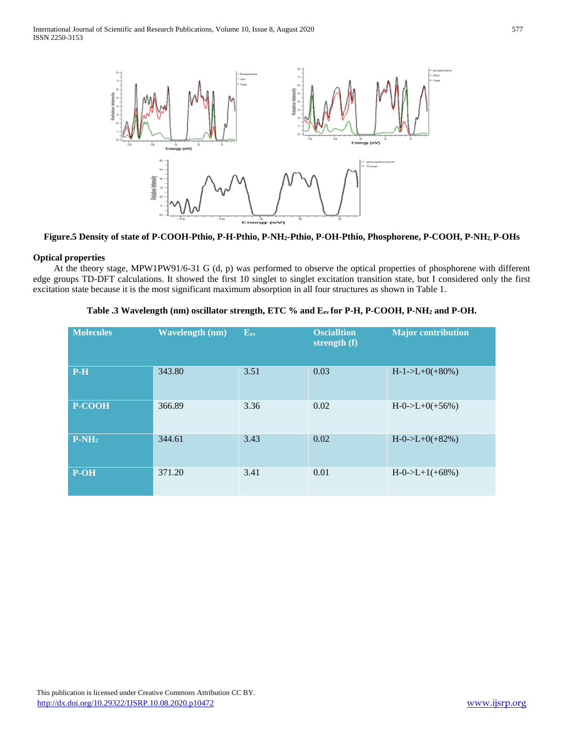

**Figure.5 Density of state of P-COOH-Pthio, P-H-Pthio, P-NH2-Pthio, P-OH-Pthio, Phosphorene, P-COOH, P-NH2, P-OHs**

# **Optical properties**

 At the theory stage, MPW1PW91/6-31 G (d, p) was performed to observe the optical properties of phosphorene with different edge groups TD-DFT calculations. It showed the first 10 singlet to singlet excitation transition state, but I considered only the first excitation state because it is the most significant maximum absorption in all four structures as shown in Table 1.

| <b>Molecules</b> | <b>Wavelength (nm)</b> | $\overline{\mathbf{E}}$ ev | <b>Oscialltion</b><br>strength (f) | <b>Major contribution</b> |
|------------------|------------------------|----------------------------|------------------------------------|---------------------------|
| $P-H$            | 343.80                 | 3.51                       | 0.03                               | $H-1->L+0(+80%)$          |
| <b>P-COOH</b>    | 366.89                 | 3.36                       | 0.02                               | $H - 0$ ->L+0(+56%)       |
| $P-NH2$          | 344.61                 | 3.43                       | 0.02                               | $H - 0$ ->L+0(+82%)       |
| P-OH             | 371.20                 | 3.41                       | 0.01                               | $H - 0$ ->L+1(+68%)       |

#### **Table .3 Wavelength (nm) oscillator strength, ETC % and Eev for P-H, P-COOH, P-NH<sup>2</sup> and P-OH.**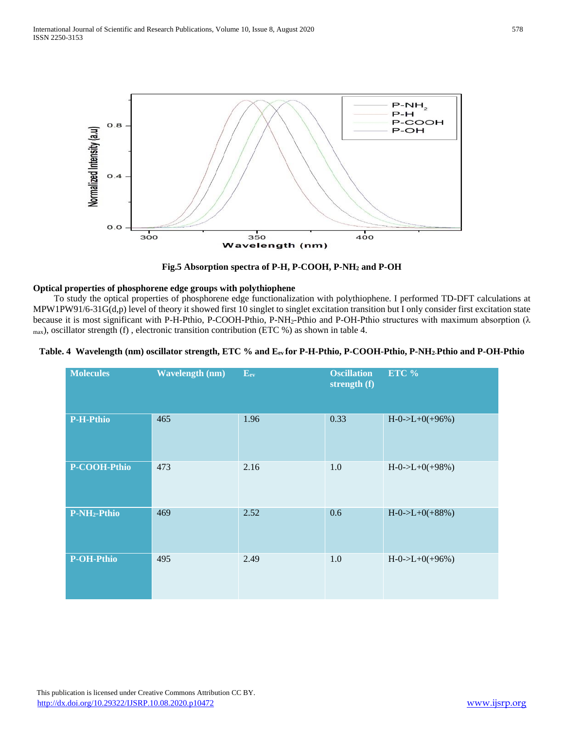

**Fig.5 Absorption spectra of P-H, P-COOH, P-NH<sup>2</sup> and P-OH**

# **Optical properties of phosphorene edge groups with polythiophene**

 To study the optical properties of phosphorene edge functionalization with polythiophene. I performed TD-DFT calculations at MPW1PW91/6-31G(d,p) level of theory it showed first 10 singlet to singlet excitation transition but I only consider first excitation state because it is most significant with P-H-Pthio, P-COOH-Pthio, P-NH2-Pthio and P-OH-Pthio structures with maximum absorption (λ  $_{\text{max}}$ ), oscillator strength (f), electronic transition contribution (ETC %) as shown in table 4.

## **Table. 4 Wavelength (nm) oscillator strength, ETC % and Eev for P-H-Pthio, P-COOH-Pthio, P-NH2-Pthio and P-OH-Pthio**

| <b>Molecules</b>         | <b>Wavelength (nm)</b> | $E_{ev}$ | <b>Oscillation</b><br>strength (f) | ETC %               |
|--------------------------|------------------------|----------|------------------------------------|---------------------|
| <b>P-H-Pthio</b>         | 465                    | 1.96     | 0.33                               | $H - 0$ ->L+0(+96%) |
| P-COOH-Pthio             | 473                    | 2.16     | 1.0                                | $H - 0$ ->L+0(+98%) |
| P-NH <sub>2</sub> -Pthio | 469                    | 2.52     | 0.6                                | $H - 0$ ->L+0(+88%) |
| <b>P-OH-Pthio</b>        | 495                    | 2.49     | 1.0                                | $H - 0$ ->L+0(+96%) |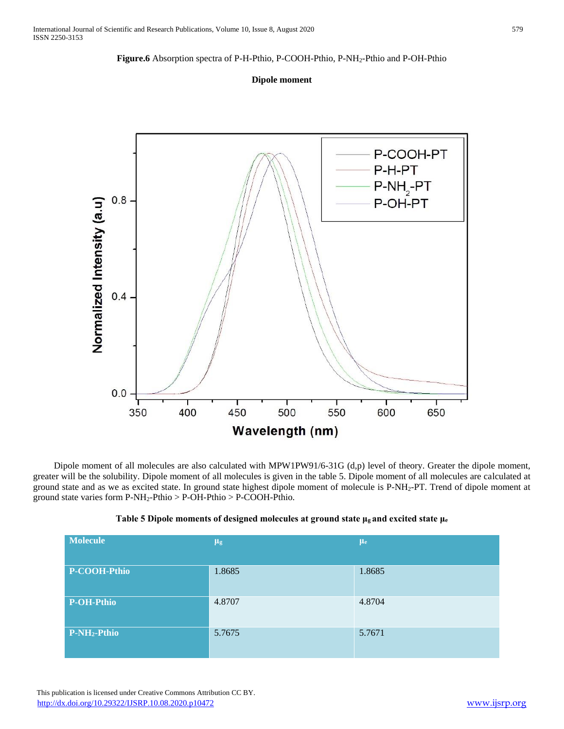#### **Figure.6** Absorption spectra of P-H-Pthio, P-COOH-Pthio, P-NH2-Pthio and P-OH-Pthio

#### **Dipole moment**



 Dipole moment of all molecules are also calculated with MPW1PW91/6-31G (d,p) level of theory. Greater the dipole moment, greater will be the solubility. Dipole moment of all molecules is given in the table 5. Dipole moment of all molecules are calculated at ground state and as we as excited state. In ground state highest dipole moment of molecule is P-NH2-PT. Trend of dipole moment at ground state varies form P-NH2-Pthio > P-OH-Pthio > P-COOH-Pthio.

| <b>Molecule</b>          | $\mu$ g | $\mu$ <sub>e</sub> |
|--------------------------|---------|--------------------|
|                          |         |                    |
| P-COOH-Pthio             | 1.8685  | 1.8685             |
|                          |         |                    |
| P-OH-Pthio               | 4.8707  | 4.8704             |
|                          |         |                    |
| P-NH <sub>2</sub> -Pthio | 5.7675  | 5.7671             |
|                          |         |                    |
|                          |         |                    |

#### **Table 5 Dipole moments of designed molecules at ground state μg and excited state μ<sup>e</sup>**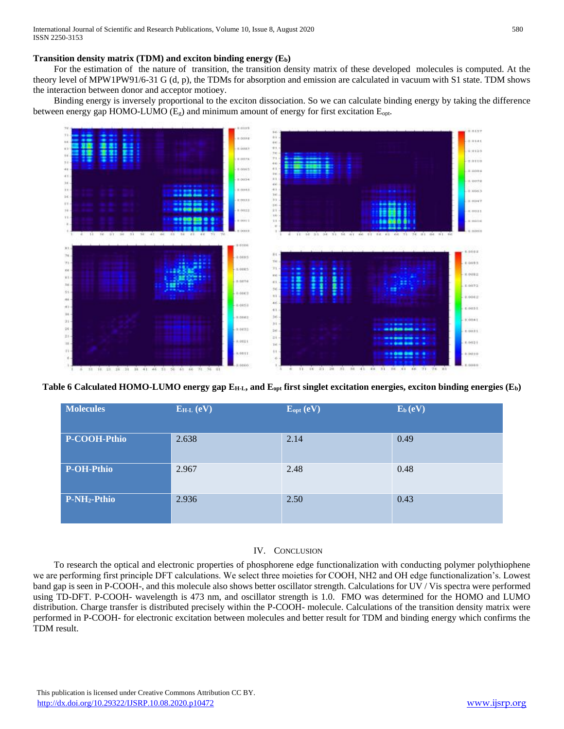# **Transition density matrix (TDM) and exciton binding energy (Eb)**

 For the estimation of the nature of transition, the transition density matrix of these developed molecules is computed. At the theory level of MPW1PW91/6-31 G (d, p), the TDMs for absorption and emission are calculated in vacuum with S1 state. TDM shows the interaction between donor and acceptor motioey.

 Binding energy is inversely proportional to the exciton dissociation. So we can calculate binding energy by taking the difference between energy gap HOMO-LUMO ( $E_g$ ) and minimum amount of energy for first excitation  $E_{opt}$ .



**Table 6 Calculated HOMO-LUMO energy gap EH-L, and Eopt first singlet excitation energies, exciton binding energies (Eb)**

| <b>Molecules</b>         | $E_{H-L}$ (eV) | $E_{opt}(eV)$ | $E_b (eV)$ |
|--------------------------|----------------|---------------|------------|
| P-COOH-Pthio             | 2.638          | 2.14          | 0.49       |
| P-OH-Pthio               | 2.967          | 2.48          | 0.48       |
| P-NH <sub>2</sub> -Pthio | 2.936          | 2.50          | 0.43       |

# IV. CONCLUSION

 To research the optical and electronic properties of phosphorene edge functionalization with conducting polymer polythiophene we are performing first principle DFT calculations. We select three moieties for COOH, NH2 and OH edge functionalization's. Lowest band gap is seen in P-COOH-, and this molecule also shows better oscillator strength. Calculations for UV / Vis spectra were performed using TD-DFT. P-COOH- wavelength is 473 nm, and oscillator strength is 1.0. FMO was determined for the HOMO and LUMO distribution. Charge transfer is distributed precisely within the P-COOH- molecule. Calculations of the transition density matrix were performed in P-COOH- for electronic excitation between molecules and better result for TDM and binding energy which confirms the TDM result.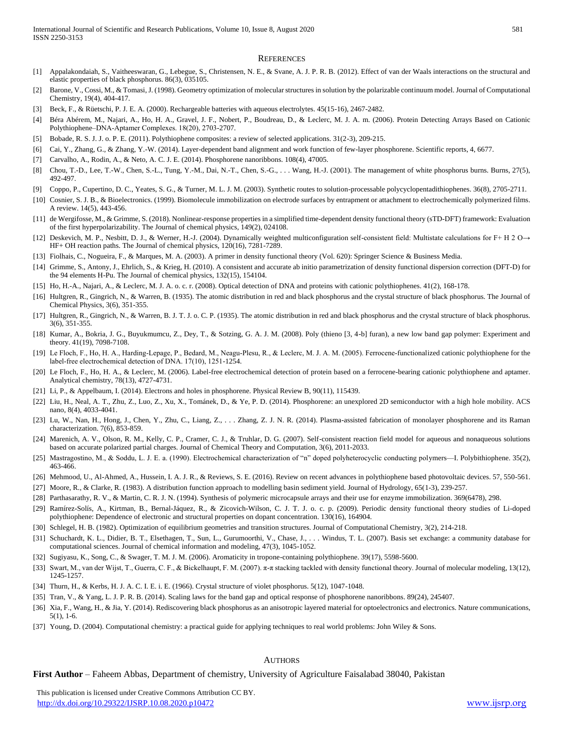#### **REFERENCES**

- [1] Appalakondaiah, S., Vaitheeswaran, G., Lebegue, S., Christensen, N. E., & Svane, A. J. P. R. B. (2012). Effect of van der Waals interactions on the structural and elastic properties of black phosphorus. 86(3), 035105.
- [2] Barone, V., Cossi, M., & Tomasi, J. (1998). Geometry optimization of molecular structures in solution by the polarizable continuum model. Journal of Computational Chemistry, 19(4), 404-417.
- [3] Beck, F., & Rüetschi, P. J. E. A. (2000). Rechargeable batteries with aqueous electrolytes. 45(15-16), 2467-2482.
- [4] Béra Abérem, M., Najari, A., Ho, H. A., Gravel, J. F., Nobert, P., Boudreau, D., & Leclerc, M. J. A. m. (2006). Protein Detecting Arrays Based on Cationic Polythiophene–DNA‐Aptamer Complexes. 18(20), 2703-2707.
- [5] Bobade, R. S. J. J. o. P. E. (2011). Polythiophene composites: a review of selected applications. 31(2-3), 209-215.
- [6] Cai, Y., Zhang, G., & Zhang, Y.-W. (2014). Layer-dependent band alignment and work function of few-layer phosphorene. Scientific reports, 4, 6677.
- [7] Carvalho, A., Rodin, A., & Neto, A. C. J. E. (2014). Phosphorene nanoribbons. 108(4), 47005.
- [8] Chou, T.-D., Lee, T.-W., Chen, S.-L., Tung, Y.-M., Dai, N.-T., Chen, S.-G., . . . Wang, H.-J. (2001). The management of white phosphorus burns. Burns, 27(5), 492-497.
- [9] Coppo, P., Cupertino, D. C., Yeates, S. G., & Turner, M. L. J. M. (2003). Synthetic routes to solution-processable polycyclopentadithiophenes. 36(8), 2705-2711.
- [10] Cosnier, S. J. B., & Bioelectronics. (1999). Biomolecule immobilization on electrode surfaces by entrapment or attachment to electrochemically polymerized films. A review. 14(5), 443-456.
- [11] de Wergifosse, M., & Grimme, S. (2018). Nonlinear-response properties in a simplified time-dependent density functional theory (sTD-DFT) framework: Evaluation of the first hyperpolarizability. The Journal of chemical physics, 149(2), 024108.
- [12] Deskevich, M. P., Nesbitt, D. J., & Werner, H.-J. (2004). Dynamically weighted multiconfiguration self-consistent field: Multistate calculations for F+ H 2 O→ HF+ OH reaction paths. The Journal of chemical physics, 120(16), 7281-7289.
- [13] Fiolhais, C., Nogueira, F., & Marques, M. A. (2003). A primer in density functional theory (Vol. 620): Springer Science & Business Media.
- [14] Grimme, S., Antony, J., Ehrlich, S., & Krieg, H. (2010). A consistent and accurate ab initio parametrization of density functional dispersion correction (DFT-D) for the 94 elements H-Pu. The Journal of chemical physics, 132(15), 154104.
- [15] Ho, H.-A., Najari, A., & Leclerc, M. J. A. o. c. r. (2008). Optical detection of DNA and proteins with cationic polythiophenes. 41(2), 168-178.
- [16] Hultgren, R., Gingrich, N., & Warren, B. (1935). The atomic distribution in red and black phosphorus and the crystal structure of black phosphorus. The Journal of Chemical Physics, 3(6), 351-355.
- [17] Hultgren, R., Gingrich, N., & Warren, B. J. T. J. o. C. P. (1935). The atomic distribution in red and black phosphorus and the crystal structure of black phosphorus. 3(6), 351-355.
- [18] Kumar, A., Bokria, J. G., Buyukmumcu, Z., Dey, T., & Sotzing, G. A. J. M. (2008). Poly (thieno [3, 4-b] furan), a new low band gap polymer: Experiment and theory. 41(19), 7098-7108.
- [19] Le Floch, F., Ho, H. A., Harding-Lepage, P., Bedard, M., Neagu-Plesu, R., & Leclerc, M. J. A. M. (2005). Ferrocene-functionalized cationic polythiophene for the label‐free electrochemical detection of DNA. 17(10), 1251-1254.
- [20] Le Floch, F., Ho, H. A., & Leclerc, M. (2006). Label-free electrochemical detection of protein based on a ferrocene-bearing cationic polythiophene and aptamer. Analytical chemistry, 78(13), 4727-4731.
- [21] Li, P., & Appelbaum, I. (2014). Electrons and holes in phosphorene. Physical Review B, 90(11), 115439.
- [22] Liu, H., Neal, A. T., Zhu, Z., Luo, Z., Xu, X., Tománek, D., & Ye, P. D. (2014). Phosphorene: an unexplored 2D semiconductor with a high hole mobility. ACS nano, 8(4), 4033-4041.
- [23] Lu, W., Nan, H., Hong, J., Chen, Y., Zhu, C., Liang, Z., . . . Zhang, Z. J. N. R. (2014). Plasma-assisted fabrication of monolayer phosphorene and its Raman characterization. 7(6), 853-859.
- [24] Marenich, A. V., Olson, R. M., Kelly, C. P., Cramer, C. J., & Truhlar, D. G. (2007). Self-consistent reaction field model for aqueous and nonaqueous solutions based on accurate polarized partial charges. Journal of Chemical Theory and Computation, 3(6), 2011-2033.
- [25] Mastragostino, M., & Soddu, L. J. E. a. (1990). Electrochemical characterization of "n" doped polyheterocyclic conducting polymers—I. Polybithiophene. 35(2), 463-466.
- [26] Mehmood, U., Al-Ahmed, A., Hussein, I. A. J. R., & Reviews, S. E. (2016). Review on recent advances in polythiophene based photovoltaic devices. 57, 550-561.
- [27] Moore, R., & Clarke, R. (1983). A distribution function approach to modelling basin sediment yield. Journal of Hydrology, 65(1-3), 239-257.
- [28] Parthasarathy, R. V., & Martin, C. R. J. N. (1994). Synthesis of polymeric microcapsule arrays and their use for enzyme immobilization. 369(6478), 298.
- [29] Ramírez-Solís, A., Kirtman, B., Bernal-Jáquez, R., & Zicovich-Wilson, C. J. T. J. o. c. p. (2009). Periodic density functional theory studies of Li-doped polythiophene: Dependence of electronic and structural properties on dopant concentration. 130(16), 164904.
- [30] Schlegel, H. B. (1982). Optimization of equilibrium geometries and transition structures. Journal of Computational Chemistry, 3(2), 214-218.
- [31] Schuchardt, K. L., Didier, B. T., Elsethagen, T., Sun, L., Gurumoorthi, V., Chase, J., . . . Windus, T. L. (2007). Basis set exchange: a community database for computational sciences. Journal of chemical information and modeling, 47(3), 1045-1052.
- [32] Sugiyasu, K., Song, C., & Swager, T. M. J. M. (2006). Aromaticity in tropone-containing polythiophene. 39(17), 5598-5600.
- [33] Swart, M., van der Wijst, T., Guerra, C. F., & Bickelhaupt, F. M. (2007). π-π stacking tackled with density functional theory. Journal of molecular modeling, 13(12), 1245-1257.
- [34] Thurn, H., & Kerbs, H. J. A. C. I. E. i. E. (1966). Crystal structure of violet phosphorus. 5(12), 1047-1048.
- [35] Tran, V., & Yang, L. J. P. R. B. (2014). Scaling laws for the band gap and optical response of phosphorene nanoribbons. 89(24), 245407.
- [36] Xia, F., Wang, H., & Jia, Y. (2014). Rediscovering black phosphorus as an anisotropic layered material for optoelectronics and electronics. Nature communications, 5(1), 1-6.
- [37] Young, D. (2004). Computational chemistry: a practical guide for applying techniques to real world problems: John Wiley & Sons.

#### **AUTHORS**

**First Author** – Faheem Abbas, Department of chemistry, University of Agriculture Faisalabad 38040, Pakistan

 This publication is licensed under Creative Commons Attribution CC BY. <http://dx.doi.org/10.29322/IJSRP.10.08.2020.p10472> [www.ijsrp.org](http://ijsrp.org/)